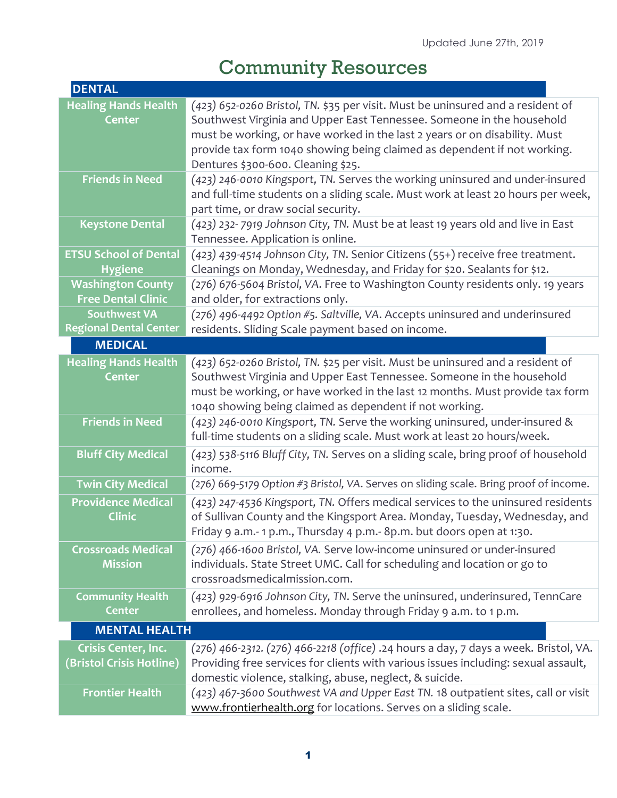## Community Resources

| <b>DENTAL</b>                                    |                                                                                                                                  |
|--------------------------------------------------|----------------------------------------------------------------------------------------------------------------------------------|
| <b>Healing Hands Health</b>                      | (423) 652-0260 Bristol, TN. \$35 per visit. Must be uninsured and a resident of                                                  |
| <b>Center</b>                                    | Southwest Virginia and Upper East Tennessee. Someone in the household                                                            |
|                                                  | must be working, or have worked in the last 2 years or on disability. Must                                                       |
|                                                  | provide tax form 1040 showing being claimed as dependent if not working.                                                         |
|                                                  | Dentures \$300-600. Cleaning \$25.                                                                                               |
| <b>Friends in Need</b>                           | (423) 246-0010 Kingsport, TN. Serves the working uninsured and under-insured                                                     |
|                                                  | and full-time students on a sliding scale. Must work at least 20 hours per week,                                                 |
|                                                  | part time, or draw social security.                                                                                              |
| <b>Keystone Dental</b>                           | (423) 232-7919 Johnson City, TN. Must be at least 19 years old and live in East                                                  |
|                                                  | Tennessee. Application is online.                                                                                                |
| <b>ETSU School of Dental</b>                     | (423) 439-4514 Johnson City, TN. Senior Citizens (55+) receive free treatment.                                                   |
| <b>Hygiene</b>                                   | Cleanings on Monday, Wednesday, and Friday for \$20. Sealants for \$12.                                                          |
| <b>Washington County</b>                         | (276) 676-5604 Bristol, VA. Free to Washington County residents only. 19 years                                                   |
| <b>Free Dental Clinic</b><br><b>Southwest VA</b> | and older, for extractions only.                                                                                                 |
| <b>Regional Dental Center</b>                    | (276) 496-4492 Option #5. Saltville, VA. Accepts uninsured and underinsured<br>residents. Sliding Scale payment based on income. |
| <b>MEDICAL</b>                                   |                                                                                                                                  |
| <b>Healing Hands Health</b>                      | (423) 652-0260 Bristol, TN. \$25 per visit. Must be uninsured and a resident of                                                  |
| <b>Center</b>                                    | Southwest Virginia and Upper East Tennessee. Someone in the household                                                            |
|                                                  | must be working, or have worked in the last 12 months. Must provide tax form                                                     |
|                                                  | 1040 showing being claimed as dependent if not working.                                                                          |
| <b>Friends in Need</b>                           | (423) 246-0010 Kingsport, TN. Serve the working uninsured, under-insured &                                                       |
|                                                  | full-time students on a sliding scale. Must work at least 20 hours/week.                                                         |
| <b>Bluff City Medical</b>                        | (423) 538-5116 Bluff City, TN. Serves on a sliding scale, bring proof of household                                               |
|                                                  | income.                                                                                                                          |
| <b>Twin City Medical</b>                         | (276) 669-5179 Option #3 Bristol, VA. Serves on sliding scale. Bring proof of income.                                            |
| <b>Providence Medical</b>                        | (423) 247-4536 Kingsport, TN. Offers medical services to the uninsured residents                                                 |
| <b>Clinic</b>                                    | of Sullivan County and the Kingsport Area. Monday, Tuesday, Wednesday, and                                                       |
|                                                  | Friday 9 a.m.-1 p.m., Thursday 4 p.m.-8p.m. but doors open at 1:30.                                                              |
| <b>Crossroads Medical</b>                        | (276) 466-1600 Bristol, VA. Serve low-income uninsured or under-insured                                                          |
| <b>Mission</b>                                   | individuals. State Street UMC. Call for scheduling and location or go to                                                         |
|                                                  | crossroadsmedicalmission.com.                                                                                                    |
| <b>Community Health</b>                          | (423) 929-6916 Johnson City, TN. Serve the uninsured, underinsured, TennCare                                                     |
| <b>Center</b>                                    | enrollees, and homeless. Monday through Friday 9 a.m. to 1 p.m.                                                                  |
| <b>MENTAL HEALTH</b>                             |                                                                                                                                  |
| <b>Crisis Center, Inc.</b>                       | (276) 466-2312. (276) 466-2218 (office) .24 hours a day, 7 days a week. Bristol, VA.                                             |
| (Bristol Crisis Hotline)                         | Providing free services for clients with various issues including: sexual assault,                                               |
|                                                  | domestic violence, stalking, abuse, neglect, & suicide.                                                                          |
| <b>Frontier Health</b>                           | (423) 467-3600 Southwest VA and Upper East TN. 18 outpatient sites, call or visit                                                |
|                                                  | www.frontierhealth.org for locations. Serves on a sliding scale.                                                                 |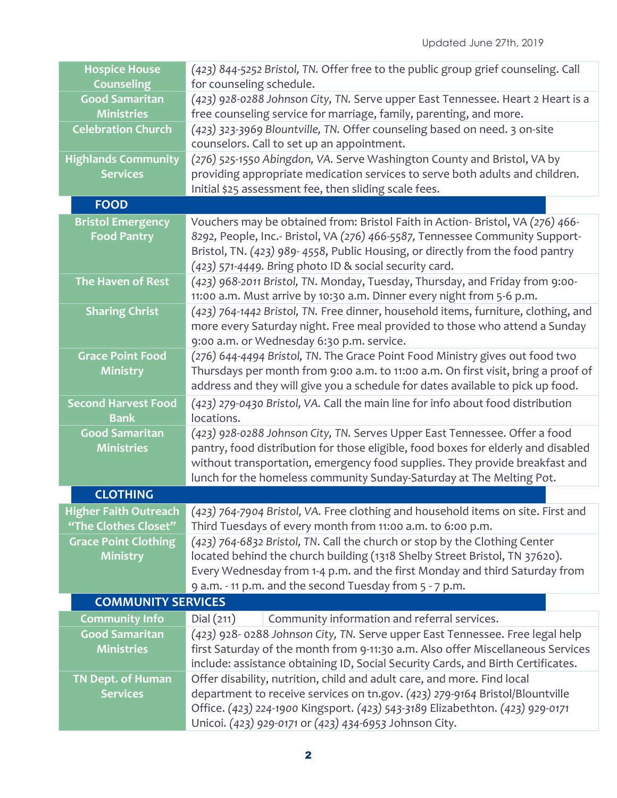| <b>Hospice House</b><br><b>Counseling</b> | (423) 844-5252 Bristol, TN. Offer free to the public group grief counseling. Call<br>for counseling schedule.                                                       |  |
|-------------------------------------------|---------------------------------------------------------------------------------------------------------------------------------------------------------------------|--|
| <b>Good Samaritan</b>                     | (423) 928-0288 Johnson City, TN. Serve upper East Tennessee. Heart 2 Heart is a                                                                                     |  |
| <b>Ministries</b>                         | free counseling service for marriage, family, parenting, and more.                                                                                                  |  |
| <b>Celebration Church</b>                 | (423) 323-3969 Blountville, TN. Offer counseling based on need. 3 on-site                                                                                           |  |
|                                           | counselors. Call to set up an appointment.                                                                                                                          |  |
| <b>Highlands Community</b>                | (276) 525-1550 Abingdon, VA. Serve Washington County and Bristol, VA by                                                                                             |  |
| <b>Services</b>                           | providing appropriate medication services to serve both adults and children.                                                                                        |  |
|                                           | Initial \$25 assessment fee, then sliding scale fees.                                                                                                               |  |
| <b>FOOD</b>                               |                                                                                                                                                                     |  |
| <b>Bristol Emergency</b>                  | Vouchers may be obtained from: Bristol Faith in Action- Bristol, VA (276) 466-                                                                                      |  |
| <b>Food Pantry</b>                        | 8292, People, Inc.- Bristol, VA (276) 466-5587, Tennessee Community Support-                                                                                        |  |
|                                           | Bristol, TN. (423) 989-4558, Public Housing, or directly from the food pantry                                                                                       |  |
|                                           | (423) 571-4449. Bring photo ID & social security card.                                                                                                              |  |
| The Haven of Rest                         | (423) 968-2011 Bristol, TN. Monday, Tuesday, Thursday, and Friday from 9:00-                                                                                        |  |
|                                           | 11:00 a.m. Must arrive by 10:30 a.m. Dinner every night from 5-6 p.m.                                                                                               |  |
| <b>Sharing Christ</b>                     | (423) 764-1442 Bristol, TN. Free dinner, household items, furniture, clothing, and                                                                                  |  |
|                                           | more every Saturday night. Free meal provided to those who attend a Sunday                                                                                          |  |
|                                           | 9:00 a.m. or Wednesday 6:30 p.m. service.                                                                                                                           |  |
| <b>Grace Point Food</b>                   | (276) 644-4494 Bristol, TN. The Grace Point Food Ministry gives out food two                                                                                        |  |
| <b>Ministry</b>                           | Thursdays per month from 9:00 a.m. to 11:00 a.m. On first visit, bring a proof of<br>address and they will give you a schedule for dates available to pick up food. |  |
|                                           |                                                                                                                                                                     |  |
| <b>Second Harvest Food</b>                | (423) 279-0430 Bristol, VA. Call the main line for info about food distribution                                                                                     |  |
| <b>Bank</b><br><b>Good Samaritan</b>      | locations.                                                                                                                                                          |  |
| <b>Ministries</b>                         | (423) 928-0288 Johnson City, TN. Serves Upper East Tennessee. Offer a food<br>pantry, food distribution for those eligible, food boxes for elderly and disabled     |  |
|                                           | without transportation, emergency food supplies. They provide breakfast and                                                                                         |  |
|                                           | lunch for the homeless community Sunday-Saturday at The Melting Pot.                                                                                                |  |
| <b>CLOTHING</b>                           |                                                                                                                                                                     |  |
|                                           | Higher Faith Outreach (423) 764-7904 Bristol, VA. Free clothing and household items on site. First and                                                              |  |
| "The Clothes Closet"                      | Third Tuesdays of every month from 11:00 a.m. to 6:00 p.m.                                                                                                          |  |
| <b>Grace Point Clothing</b>               | (423) 764-6832 Bristol, TN. Call the church or stop by the Clothing Center                                                                                          |  |
| <b>Ministry</b>                           | located behind the church building (1318 Shelby Street Bristol, TN 37620).                                                                                          |  |
|                                           | Every Wednesday from 1-4 p.m. and the first Monday and third Saturday from                                                                                          |  |
|                                           | 9 a.m. - 11 p.m. and the second Tuesday from 5 - 7 p.m.                                                                                                             |  |
| <b>COMMUNITY SERVICES</b>                 |                                                                                                                                                                     |  |
| <b>Community Info</b>                     | Community information and referral services.<br>Dial(211)                                                                                                           |  |
| <b>Good Samaritan</b>                     | (423) 928- 0288 Johnson City, TN. Serve upper East Tennessee. Free legal help                                                                                       |  |
| <b>Ministries</b>                         | first Saturday of the month from 9-11:30 a.m. Also offer Miscellaneous Services                                                                                     |  |
|                                           | include: assistance obtaining ID, Social Security Cards, and Birth Certificates.                                                                                    |  |
| <b>TN Dept. of Human</b>                  | Offer disability, nutrition, child and adult care, and more. Find local                                                                                             |  |
| <b>Services</b>                           | department to receive services on tn.gov. (423) 279-9164 Bristol/Blountville                                                                                        |  |
|                                           | Office. (423) 224-1900 Kingsport. (423) 543-3189 Elizabethton. (423) 929-0171                                                                                       |  |
|                                           | Unicoi. (423) 929-0171 or (423) 434-6953 Johnson City.                                                                                                              |  |